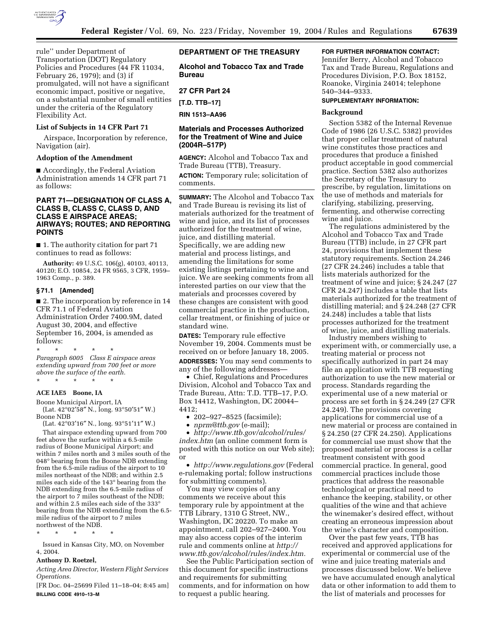

rule'' under Department of Transportation (DOT) Regulatory Policies and Procedures (44 FR 11034, February 26, 1979); and (3) if promulgated, will not have a significant economic impact, positive or negative, on a substantial number of small entities under the criteria of the Regulatory Flexibility Act.

## **List of Subjects in 14 CFR Part 71**

Airspace, Incorporation by reference, Navigation (air).

### **Adoption of the Amendment**

■ Accordingly, the Federal Aviation Administration amends 14 CFR part 71 as follows:

## **PART 71—DESIGNATION OF CLASS A, CLASS B, CLASS C, CLASS D, AND CLASS E AIRSPACE AREAS; AIRWAYS; ROUTES; AND REPORTING POINTS**

■ 1. The authority citation for part 71 continues to read as follows:

**Authority:** 49 U.S.C. 106(g), 40103, 40113, 40120; E.O. 10854, 24 FR 9565, 3 CFR, 1959– 1963 Comp., p. 389.

#### **§ 71.1 [Amended]**

■ 2. The incorporation by reference in 14 CFR 71.1 of Federal Aviation Administration Order 7400.9M, dated August 30, 2004, and effective September 16, 2004, is amended as follows:

\* \* \* \* \* *Paragraph 6005 Class E airspace areas extending upward from 700 feet or more above the surface of the earth.* \* \* \* \* \*

#### **ACE IAE5 Boone, IA**

Boone Municipal Airport, IA

(Lat. 42°02′58″ N., long. 93°50′51″ W.) Boone NDB

(Lat. 42°03′16″ N., long. 93°51′11″ W.)

That airspace extending upward from 700 feet above the surface within a 6.5-mile radius of Boone Municipal Airport; and within 7 miles north and 3 miles south of the 048° bearing from the Boone NDB extending from the 6.5-mile radius of the airport to 10 miles northeast of the NDB; and within 2.5 miles each side of the 143° bearing from the NDB extending from the 6.5-mile radius of the airport to  $\overline{7}$  miles southeast of the NDB; and within 2.5 miles each side of the 333° bearing from the NDB extending from the 6.5 mile radius of the airport to 7 miles northwest of the NDB.

\* \* \* \* \*

Issued in Kansas City, MO, on November 4, 2004.

#### **Anthony D. Roetzel,**

*Acting Area Director, Western Flight Services Operations.*

[FR Doc. 04–25699 Filed 11–18–04; 8:45 am] **BILLING CODE 4910–13–M**

## **DEPARTMENT OF THE TREASURY**

**Alcohol and Tobacco Tax and Trade Bureau** 

### **27 CFR Part 24**

**[T.D. TTB–17]** 

**RIN 1513–AA96**

## **Materials and Processes Authorized for the Treatment of Wine and Juice (2004R–517P)**

**AGENCY:** Alcohol and Tobacco Tax and Trade Bureau (TTB), Treasury. **ACTION:** Temporary rule; solicitation of

comments. **SUMMARY:** The Alcohol and Tobacco Tax

and Trade Bureau is revising its list of materials authorized for the treatment of wine and juice, and its list of processes authorized for the treatment of wine, juice, and distilling material. Specifically, we are adding new material and process listings, and amending the limitations for some existing listings pertaining to wine and juice. We are seeking comments from all interested parties on our view that the materials and processes covered by these changes are consistent with good commercial practice in the production, cellar treatment, or finishing of juice or standard wine.

**DATES:** Temporary rule effective November 19, 2004. Comments must be received on or before January 18, 2005. **ADDRESSES:** You may send comments to any of the following addresses—

• Chief, Regulations and Procedures Division, Alcohol and Tobacco Tax and Trade Bureau, Attn: T.D. TTB–17, P.O. Box 14412, Washington, DC 20044– 4412;

- 202–927–8525 (facsimile);
- *nprm@ttb.gov* (e-mail);

• *http://www.ttb.gov/alcohol/rules/ index.htm* (an online comment form is posted with this notice on our Web site); or

• *http://www.regulations.gov* (Federal e-rulemaking portal; follow instructions for submitting comments).

You may view copies of any comments we receive about this temporary rule by appointment at the TTB Library, 1310 G Street, NW., Washington, DC 20220. To make an appointment, call 202–927–2400. You may also access copies of the interim rule and comments online at *http:// www.ttb.gov/alcohol/rules/index.htm.*

See the Public Participation section of this document for specific instructions and requirements for submitting comments, and for information on how to request a public hearing.

# **FOR FURTHER INFORMATION CONTACT:**

Jennifer Berry, Alcohol and Tobacco Tax and Trade Bureau, Regulations and Procedures Division, P.O. Box 18152, Roanoke, Virginia 24014; telephone 540–344–9333.

### **SUPPLEMENTARY INFORMATION:**

#### **Background**

Section 5382 of the Internal Revenue Code of 1986 (26 U.S.C. 5382) provides that proper cellar treatment of natural wine constitutes those practices and procedures that produce a finished product acceptable in good commercial practice. Section 5382 also authorizes the Secretary of the Treasury to prescribe, by regulation, limitations on the use of methods and materials for clarifying, stabilizing, preserving, fermenting, and otherwise correcting wine and juice.

The regulations administered by the Alcohol and Tobacco Tax and Trade Bureau (TTB) include, in 27 CFR part 24, provisions that implement these statutory requirements. Section 24.246 (27 CFR 24.246) includes a table that lists materials authorized for the treatment of wine and juice; § 24.247 (27 CFR 24.247) includes a table that lists materials authorized for the treatment of distilling material; and § 24.248 (27 CFR 24.248) includes a table that lists processes authorized for the treatment of wine, juice, and distilling materials.

Industry members wishing to experiment with, or commercially use, a treating material or process not specifically authorized in part 24 may file an application with TTB requesting authorization to use the new material or process. Standards regarding the experimental use of a new material or process are set forth in § 24.249 (27 CFR 24.249). The provisions covering applications for commercial use of a new material or process are contained in § 24.250 (27 CFR 24.250). Applications for commercial use must show that the proposed material or process is a cellar treatment consistent with good commercial practice. In general, good commercial practices include those practices that address the reasonable technological or practical need to enhance the keeping, stability, or other qualities of the wine and that achieve the winemaker's desired effect, without creating an erroneous impression about the wine's character and composition.

Over the past few years, TTB has received and approved applications for experimental or commercial use of the wine and juice treating materials and processes discussed below. We believe we have accumulated enough analytical data or other information to add them to the list of materials and processes for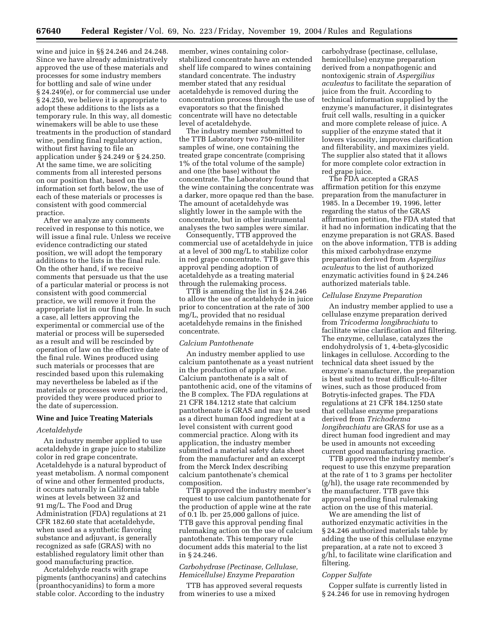wine and juice in §§ 24.246 and 24.248. Since we have already administratively approved the use of these materials and processes for some industry members for bottling and sale of wine under § 24.249(e), or for commercial use under § 24.250, we believe it is appropriate to adopt these additions to the lists as a temporary rule. In this way, all domestic winemakers will be able to use these treatments in the production of standard wine, pending final regulatory action, without first having to file an application under § 24.249 or § 24.250. At the same time, we are soliciting comments from all interested persons on our position that, based on the information set forth below, the use of each of these materials or processes is consistent with good commercial practice.

After we analyze any comments received in response to this notice, we will issue a final rule. Unless we receive evidence contradicting our stated position, we will adopt the temporary additions to the lists in the final rule. On the other hand, if we receive comments that persuade us that the use of a particular material or process is not consistent with good commercial practice, we will remove it from the appropriate list in our final rule. In such a case, all letters approving the experimental or commercial use of the material or process will be superseded as a result and will be rescinded by operation of law on the effective date of the final rule. Wines produced using such materials or processes that are rescinded based upon this rulemaking may nevertheless be labeled as if the materials or processes were authorized, provided they were produced prior to the date of supercession.

#### **Wine and Juice Treating Materials**

#### *Acetaldehyde*

An industry member applied to use acetaldehyde in grape juice to stabilize color in red grape concentrate. Acetaldehyde is a natural byproduct of yeast metabolism. A normal component of wine and other fermented products, it occurs naturally in California table wines at levels between 32 and 91 mg/L. The Food and Drug Administration (FDA) regulations at 21 CFR 182.60 state that acetaldehyde, when used as a synthetic flavoring substance and adjuvant, is generally recognized as safe (GRAS) with no established regulatory limit other than good manufacturing practice.

Acetaldehyde reacts with grape pigments (anthocyanins) and catechins (proanthocyanidins) to form a more stable color. According to the industry

member, wines containing colorstabilized concentrate have an extended shelf life compared to wines containing standard concentrate. The industry member stated that any residual acetaldehyde is removed during the concentration process through the use of evaporators so that the finished concentrate will have no detectable level of acetaldehyde.

The industry member submitted to the TTB Laboratory two 750-milliliter samples of wine, one containing the treated grape concentrate (comprising 1% of the total volume of the sample) and one (the base) without the concentrate. The Laboratory found that the wine containing the concentrate was a darker, more opaque red than the base. The amount of acetaldehyde was slightly lower in the sample with the concentrate, but in other instrumental analyses the two samples were similar.

Consequently, TTB approved the commercial use of acetaldehyde in juice at a level of 300 mg/L to stabilize color in red grape concentrate. TTB gave this approval pending adoption of acetaldehyde as a treating material through the rulemaking process.

TTB is amending the list in § 24.246 to allow the use of acetaldehyde in juice prior to concentration at the rate of 300 mg/L, provided that no residual acetaldehyde remains in the finished concentrate.

#### *Calcium Pantothenate*

An industry member applied to use calcium pantothenate as a yeast nutrient in the production of apple wine. Calcium pantothenate is a salt of pantothenic acid, one of the vitamins of the B complex. The FDA regulations at 21 CFR 184.1212 state that calcium pantothenate is GRAS and may be used as a direct human food ingredient at a level consistent with current good commercial practice. Along with its application, the industry member submitted a material safety data sheet from the manufacturer and an excerpt from the Merck Index describing calcium pantothenate's chemical composition.

TTB approved the industry member's request to use calcium pantothenate for the production of apple wine at the rate of 0.1 lb. per 25,000 gallons of juice. TTB gave this approval pending final rulemaking action on the use of calcium pantothenate. This temporary rule document adds this material to the list in § 24.246.

## *Carbohydrase (Pectinase, Cellulase, Hemicellulse) Enzyme Preparation*

TTB has approved several requests from wineries to use a mixed

carbohydrase (pectinase, cellulase, hemicellulse) enzyme preparation derived from a nonpathogenic and nontoxigenic strain of *Aspergilius aculeatus* to facilitate the separation of juice from the fruit. According to technical information supplied by the enzyme's manufacturer, it disintegrates fruit cell walls, resulting in a quicker and more complete release of juice. A supplier of the enzyme stated that it lowers viscosity, improves clarification and filterability, and maximizes yield. The supplier also stated that it allows for more complete color extraction in red grape juice.

The FDA accepted a GRAS affirmation petition for this enzyme preparation from the manufacturer in 1985. In a December 19, 1996, letter regarding the status of the GRAS affirmation petition, the FDA stated that it had no information indicating that the enzyme preparation is not GRAS. Based on the above information, TTB is adding this mixed carbohydrase enzyme preparation derived from *Aspergilius aculeatus* to the list of authorized enzymatic activities found in § 24.246 authorized materials table.

### *Cellulase Enzyme Preparation*

An industry member applied to use a cellulase enzyme preparation derived from *Tricoderma longibrachiatu* to facilitate wine clarification and filtering. The enzyme, cellulase, catalyzes the endohydrolysis of 1, 4-beta-glycosidic linkages in cellulose. According to the technical data sheet issued by the enzyme's manufacturer, the preparation is best suited to treat difficult-to-filter wines, such as those produced from Botrytis-infected grapes. The FDA regulations at 21 CFR 184.1250 state that cellulase enzyme preparations derived from *Trichoderma longibrachiatu* are GRAS for use as a direct human food ingredient and may be used in amounts not exceeding current good manufacturing practice.

TTB approved the industry member's request to use this enzyme preparation at the rate of 1 to 3 grams per hectoliter (g/hl), the usage rate recommended by the manufacturer. TTB gave this approval pending final rulemaking action on the use of this material.

We are amending the list of authorized enzymatic activities in the § 24.246 authorized materials table by adding the use of this cellulase enzyme preparation, at a rate not to exceed 3 g/hl, to facilitate wine clarification and filtering.

#### *Copper Sulfate*

Copper sulfate is currently listed in § 24.246 for use in removing hydrogen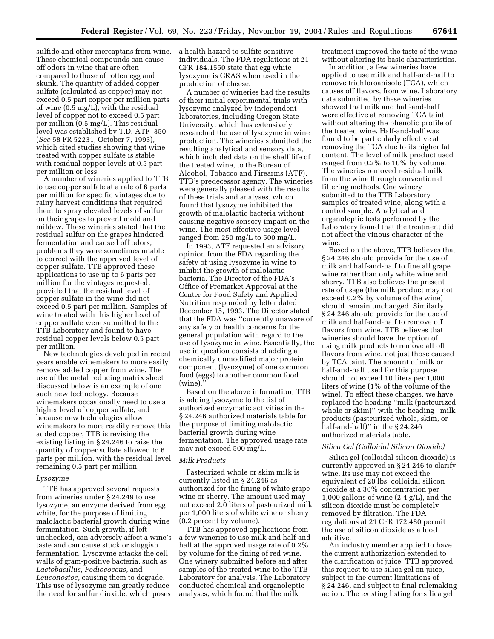sulfide and other mercaptans from wine. These chemical compounds can cause off odors in wine that are often compared to those of rotten egg and skunk. The quantity of added copper sulfate (calculated as copper) may not exceed 0.5 part copper per million parts of wine (0.5 mg/L), with the residual level of copper not to exceed 0.5 part per million (0.5 mg/L). This residual level was established by T.D. ATF–350 (*See* 58 FR 52231, October 7, 1993), which cited studies showing that wine treated with copper sulfate is stable with residual copper levels at 0.5 part per million or less.

A number of wineries applied to TTB to use copper sulfate at a rate of 6 parts per million for specific vintages due to rainy harvest conditions that required them to spray elevated levels of sulfur on their grapes to prevent mold and mildew. These wineries stated that the residual sulfur on the grapes hindered fermentation and caused off odors, problems they were sometimes unable to correct with the approved level of copper sulfate. TTB approved these applications to use up to 6 parts per million for the vintages requested, provided that the residual level of copper sulfate in the wine did not exceed 0.5 part per million. Samples of wine treated with this higher level of copper sulfate were submitted to the TTB Laboratory and found to have residual copper levels below 0.5 part per million.

New technologies developed in recent years enable winemakers to more easily remove added copper from wine. The use of the metal reducing matrix sheet discussed below is an example of one such new technology. Because winemakers occasionally need to use a higher level of copper sulfate, and because new technologies allow winemakers to more readily remove this added copper, TTB is revising the existing listing in § 24.246 to raise the quantity of copper sulfate allowed to 6 parts per million, with the residual level remaining 0.5 part per million.

#### *Lysozyme*

TTB has approved several requests from wineries under § 24.249 to use lysozyme, an enzyme derived from egg white, for the purpose of limiting malolactic bacterial growth during wine fermentation. Such growth, if left unchecked, can adversely affect a wine's taste and can cause stuck or sluggish fermentation. Lysozyme attacks the cell walls of gram-positive bacteria, such as *Lactobacillus, Pediococcus,* and *Leuconostoc,* causing them to degrade. This use of lysozyme can greatly reduce the need for sulfur dioxide, which poses

a health hazard to sulfite-sensitive individuals. The FDA regulations at 21 CFR 184.1550 state that egg white lysozyme is GRAS when used in the production of cheese.

A number of wineries had the results of their initial experimental trials with lysozyme analyzed by independent laboratories, including Oregon State University, which has extensively researched the use of lysozyme in wine production. The wineries submitted the resulting analytical and sensory data, which included data on the shelf life of the treated wine, to the Bureau of Alcohol, Tobacco and Firearms (ATF), TTB's predecessor agency. The wineries were generally pleased with the results of these trials and analyses, which found that lysozyme inhibited the growth of malolactic bacteria without causing negative sensory impact on the wine. The most effective usage level ranged from 250 mg/L to 500 mg/L.

In 1993, ATF requested an advisory opinion from the FDA regarding the safety of using lysozyme in wine to inhibit the growth of malolactic bacteria. The Director of the FDA's Office of Premarket Approval at the Center for Food Safety and Applied Nutrition responded by letter dated December 15, 1993. The Director stated that the FDA was ''currently unaware of any safety or health concerns for the general population with regard to the use of lysozyme in wine. Essentially, the use in question consists of adding a chemically unmodified major protein component (lysozyme) of one common food (eggs) to another common food (wine).

Based on the above information, TTB is adding lysozyme to the list of authorized enzymatic activities in the § 24.246 authorized materials table for the purpose of limiting malolactic bacterial growth during wine fermentation. The approved usage rate may not exceed 500 mg/L.

### *Milk Products*

Pasteurized whole or skim milk is currently listed in § 24.246 as authorized for the fining of white grape wine or sherry. The amount used may not exceed 2.0 liters of pasteurized milk per 1,000 liters of white wine or sherry (0.2 percent by volume).

TTB has approved applications from a few wineries to use milk and half-andhalf at the approved usage rate of 0.2% by volume for the fining of red wine. One winery submitted before and after samples of the treated wine to the TTB Laboratory for analysis. The Laboratory conducted chemical and organoleptic analyses, which found that the milk

treatment improved the taste of the wine without altering its basic characteristics.

In addition, a few wineries have applied to use milk and half-and-half to remove trichloroanisole (TCA), which causes off flavors, from wine. Laboratory data submitted by these wineries showed that milk and half-and-half were effective at removing TCA taint without altering the phenolic profile of the treated wine. Half-and-half was found to be particularly effective at removing the TCA due to its higher fat content. The level of milk product used ranged from 0.2% to 10% by volume. The wineries removed residual milk from the wine through conventional filtering methods. One winery submitted to the TTB Laboratory samples of treated wine, along with a control sample. Analytical and organoleptic tests performed by the Laboratory found that the treatment did not affect the vinous character of the wine.

Based on the above, TTB believes that § 24.246 should provide for the use of milk and half-and-half to fine all grape wine rather than only white wine and sherry. TTB also believes the present rate of usage (the milk product may not exceed 0.2% by volume of the wine) should remain unchanged. Similarly, § 24.246 should provide for the use of milk and half-and-half to remove off flavors from wine. TTB believes that wineries should have the option of using milk products to remove all off flavors from wine, not just those caused by TCA taint. The amount of milk or half-and-half used for this purpose should not exceed 10 liters per 1,000 liters of wine (1% of the volume of the wine). To effect these changes, we have replaced the heading ''milk (pasteurized whole or skim)'' with the heading ''milk products (pasteurized whole, skim, or half-and-half)'' in the § 24.246 authorized materials table.

#### *Silica Gel (Colloidal Silicon Dioxide)*

Silica gel (colloidal silicon dioxide) is currently approved in § 24.246 to clarify wine. Its use may not exceed the equivalent of 20 lbs. colloidal silicon dioxide at a 30% concentration per 1,000 gallons of wine (2.4 g/L), and the silicon dioxide must be completely removed by filtration. The FDA regulations at 21 CFR 172.480 permit the use of silicon dioxide as a food additive.

An industry member applied to have the current authorization extended to the clarification of juice. TTB approved this request to use silica gel on juice, subject to the current limitations of § 24.246, and subject to final rulemaking action. The existing listing for silica gel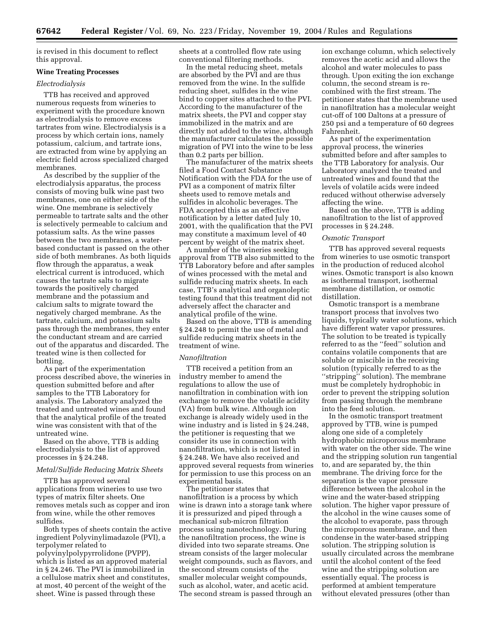is revised in this document to reflect this approval.

### **Wine Treating Processes**

### *Electrodialysis*

TTB has received and approved numerous requests from wineries to experiment with the procedure known as electrodialysis to remove excess tartrates from wine. Electrodialysis is a process by which certain ions, namely potassium, calcium, and tartrate ions, are extracted from wine by applying an electric field across specialized charged membranes.

As described by the supplier of the electrodialysis apparatus, the process consists of moving bulk wine past two membranes, one on either side of the wine. One membrane is selectively permeable to tartrate salts and the other is selectively permeable to calcium and potassium salts. As the wine passes between the two membranes, a waterbased conductant is passed on the other side of both membranes. As both liquids flow through the apparatus, a weak electrical current is introduced, which causes the tartrate salts to migrate towards the positively charged membrane and the potassium and calcium salts to migrate toward the negatively charged membrane. As the tartrate, calcium, and potassium salts pass through the membranes, they enter the conductant stream and are carried out of the apparatus and discarded. The treated wine is then collected for bottling.

As part of the experimentation process described above, the wineries in question submitted before and after samples to the TTB Laboratory for analysis. The Laboratory analyzed the treated and untreated wines and found that the analytical profile of the treated wine was consistent with that of the untreated wine.

Based on the above, TTB is adding electrodialysis to the list of approved processes in § 24.248.

### *Metal/Sulfide Reducing Matrix Sheets*

TTB has approved several applications from wineries to use two types of matrix filter sheets. One removes metals such as copper and iron from wine, while the other removes sulfides.

Both types of sheets contain the active ingredient Polyvinylimadazole (PVI), a terpolymer related to polyvinylpolypyrrolidone (PVPP), which is listed as an approved material in § 24.246. The PVI is immobilized in a cellulose matrix sheet and constitutes, at most, 40 percent of the weight of the sheet. Wine is passed through these

sheets at a controlled flow rate using conventional filtering methods.

In the metal reducing sheet, metals are absorbed by the PVI and are thus removed from the wine. In the sulfide reducing sheet, sulfides in the wine bind to copper sites attached to the PVI. According to the manufacturer of the matrix sheets, the PVI and copper stay immobilized in the matrix and are directly not added to the wine, although the manufacturer calculates the possible migration of PVI into the wine to be less than 0.2 parts per billion.

The manufacturer of the matrix sheets filed a Food Contact Substance Notification with the FDA for the use of PVI as a component of matrix filter sheets used to remove metals and sulfides in alcoholic beverages. The FDA accepted this as an effective notification by a letter dated July 10, 2001, with the qualification that the PVI may constitute a maximum level of 40 percent by weight of the matrix sheet.

A number of the wineries seeking approval from TTB also submitted to the TTB Laboratory before and after samples of wines processed with the metal and sulfide reducing matrix sheets. In each case, TTB's analytical and organoleptic testing found that this treatment did not adversely affect the character and analytical profile of the wine.

Based on the above, TTB is amending § 24.248 to permit the use of metal and sulfide reducing matrix sheets in the treatment of wine.

#### *Nanofiltration*

TTB received a petition from an industry member to amend the regulations to allow the use of nanofiltration in combination with ion exchange to remove the volatile acidity (VA) from bulk wine. Although ion exchange is already widely used in the wine industry and is listed in § 24.248, the petitioner is requesting that we consider its use in connection with nanofiltration, which is not listed in § 24.248. We have also received and approved several requests from wineries for permission to use this process on an experimental basis.

The petitioner states that nanofiltration is a process by which wine is drawn into a storage tank where it is pressurized and piped through a mechanical sub-micron filtration process using nanotechnology. During the nanofiltration process, the wine is divided into two separate streams. One stream consists of the larger molecular weight compounds, such as flavors, and the second stream consists of the smaller molecular weight compounds, such as alcohol, water, and acetic acid. The second stream is passed through an

ion exchange column, which selectively removes the acetic acid and allows the alcohol and water molecules to pass through. Upon exiting the ion exchange column, the second stream is recombined with the first stream. The petitioner states that the membrane used in nanofiltration has a molecular weight cut-off of 100 Daltons at a pressure of 250 psi and a temperature of 60 degrees Fahrenheit.

As part of the experimentation approval process, the wineries submitted before and after samples to the TTB Laboratory for analysis. Our Laboratory analyzed the treated and untreated wines and found that the levels of volatile acids were indeed reduced without otherwise adversely affecting the wine.

Based on the above, TTB is adding nanofiltration to the list of approved processes in § 24.248.

### *Osmotic Transport*

TTB has approved several requests from wineries to use osmotic transport in the production of reduced alcohol wines. Osmotic transport is also known as isothermal transport, isothermal membrane distillation, or osmotic distillation.

Osmotic transport is a membrane transport process that involves two liquids, typically water solutions, which have different water vapor pressures. The solution to be treated is typically referred to as the ''feed'' solution and contains volatile components that are soluble or miscible in the receiving solution (typically referred to as the ''stripping'' solution). The membrane must be completely hydrophobic in order to prevent the stripping solution from passing through the membrane into the feed solution.

In the osmotic transport treatment approved by TTB, wine is pumped along one side of a completely hydrophobic microporous membrane with water on the other side. The wine and the stripping solution run tangential to, and are separated by, the thin membrane. The driving force for the separation is the vapor pressure difference between the alcohol in the wine and the water-based stripping solution. The higher vapor pressure of the alcohol in the wine causes some of the alcohol to evaporate, pass through the microporous membrane, and then condense in the water-based stripping solution. The stripping solution is usually circulated across the membrane until the alcohol content of the feed wine and the stripping solution are essentially equal. The process is performed at ambient temperature without elevated pressures (other than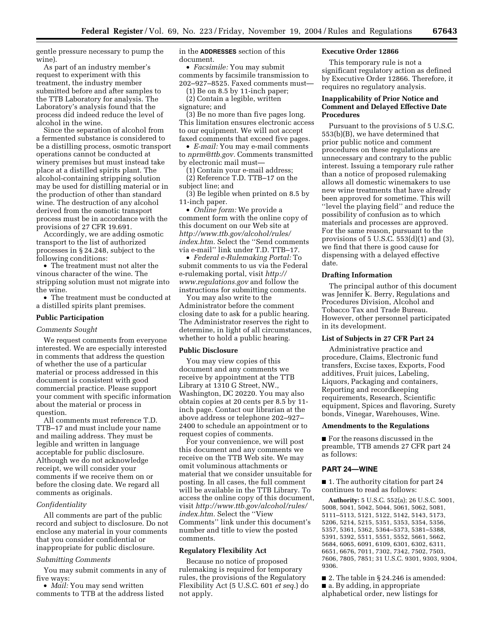gentle pressure necessary to pump the wine).

As part of an industry member's request to experiment with this treatment, the industry member submitted before and after samples to the TTB Laboratory for analysis. The Laboratory's analysis found that the process did indeed reduce the level of alcohol in the wine.

Since the separation of alcohol from a fermented substance is considered to be a distilling process, osmotic transport operations cannot be conducted at winery premises but must instead take place at a distilled spirits plant. The alcohol-containing stripping solution may be used for distilling material or in the production of other than standard wine. The destruction of any alcohol derived from the osmotic transport process must be in accordance with the provisions of 27 CFR 19.691.

Accordingly, we are adding osmotic transport to the list of authorized processes in § 24.248, subject to the following conditions:

• The treatment must not alter the vinous character of the wine. The stripping solution must not migrate into the wine.

• The treatment must be conducted at a distilled spirits plant premises.

#### **Public Participation**

#### *Comments Sought*

We request comments from everyone interested. We are especially interested in comments that address the question of whether the use of a particular material or process addressed in this document is consistent with good commercial practice. Please support your comment with specific information about the material or process in question.

All comments must reference T.D. TTB–17 and must include your name and mailing address. They must be legible and written in language acceptable for public disclosure. Although we do not acknowledge receipt, we will consider your comments if we receive them on or before the closing date. We regard all comments as originals.

### *Confidentiality*

All comments are part of the public record and subject to disclosure. Do not enclose any material in your comments that you consider confidential or inappropriate for public disclosure.

#### *Submitting Comments*

You may submit comments in any of five ways:

• *Mail:* You may send written comments to TTB at the address listed in the **ADDRESSES** section of this document.

• *Facsimile:* You may submit comments by facsimile transmission to 202–927–8525. Faxed comments must—

(1) Be on 8.5 by 11-inch paper;

(2) Contain a legible, written signature; and

(3) Be no more than five pages long. This limitation ensures electronic access to our equipment. We will not accept faxed comments that exceed five pages.

• *E-mail:* You may e-mail comments to *nprm@ttb.gov.* Comments transmitted by electronic mail must—

(1) Contain your e-mail address; (2) Reference T.D. TTB–17 on the subject line; and

(3) Be legible when printed on 8.5 by 11-inch paper.

• *Online form:* We provide a comment form with the online copy of this document on our Web site at *http://www.ttb.gov/alcohol/rules/ index.htm.* Select the ''Send comments via e-mail'' link under T.D. TTB–17.

• *Federal e-Rulemaking Portal:* To submit comments to us via the Federal e-rulemaking portal, visit *http:// www.regulations.gov* and follow the instructions for submitting comments.

You may also write to the Administrator before the comment closing date to ask for a public hearing. The Administrator reserves the right to determine, in light of all circumstances, whether to hold a public hearing.

#### **Public Disclosure**

You may view copies of this document and any comments we receive by appointment at the TTB Library at 1310 G Street, NW., Washington, DC 20220. You may also obtain copies at 20 cents per 8.5 by 11 inch page. Contact our librarian at the above address or telephone 202–927– 2400 to schedule an appointment or to request copies of comments.

For your convenience, we will post this document and any comments we receive on the TTB Web site. We may omit voluminous attachments or material that we consider unsuitable for posting. In all cases, the full comment will be available in the TTB Library. To access the online copy of this document, visit *http://www.ttb.gov/alcohol/rules/ index.htm.* Select the ''View Comments'' link under this document's number and title to view the posted comments.

#### **Regulatory Flexibility Act**

Because no notice of proposed rulemaking is required for temporary rules, the provisions of the Regulatory Flexibility Act (5 U.S.C. 601 *et seq.*) do not apply.

### **Executive Order 12866**

This temporary rule is not a significant regulatory action as defined by Executive Order 12866. Therefore, it requires no regulatory analysis.

## **Inapplicability of Prior Notice and Comment and Delayed Effective Date Procedures**

Pursuant to the provisions of 5 U.S.C. 553(b)(B), we have determined that prior public notice and comment procedures on these regulations are unnecessary and contrary to the public interest. Issuing a temporary rule rather than a notice of proposed rulemaking allows all domestic winemakers to use new wine treatments that have already been approved for sometime. This will ''level the playing field'' and reduce the possibility of confusion as to which materials and processes are approved. For the same reason, pursuant to the provisions of 5 U.S.C. 553(d)(1) and (3), we find that there is good cause for dispensing with a delayed effective date.

### **Drafting Information**

The principal author of this document was Jennifer K. Berry, Regulations and Procedures Division, Alcohol and Tobacco Tax and Trade Bureau. However, other personnel participated in its development.

#### **List of Subjects in 27 CFR Part 24**

Administrative practice and procedure, Claims, Electronic fund transfers, Excise taxes, Exports, Food additives, Fruit juices, Labeling, Liquors, Packaging and containers, Reporting and recordkeeping requirements, Research, Scientific equipment, Spices and flavoring, Surety bonds, Vinegar, Warehouses, Wine.

#### **Amendments to the Regulations**

■ For the reasons discussed in the preamble, TTB amends 27 CFR part 24 as follows:

#### **PART 24—WINE**

■ 1. The authority citation for part 24 continues to read as follows:

**Authority:** 5 U.S.C. 552(a); 26 U.S.C. 5001, 5008, 5041, 5042, 5044, 5061, 5062, 5081, 5111–5113, 5121, 5122, 5142, 5143, 5173, 5206, 5214, 5215, 5351, 5353, 5354, 5356, 5357, 5361, 5362, 5364–5373, 5381–5388, 5391, 5392, 5511, 5551, 5552, 5661, 5662, 5684, 6065, 6091, 6109, 6301, 6302, 6311, 6651, 6676, 7011, 7302, 7342, 7502, 7503, 7606, 7805, 7851; 31 U.S.C. 9301, 9303, 9304, 9306.

 $\blacksquare$  2. The table in § 24.246 is amended: ■ a. By adding, in appropriate alphabetical order, new listings for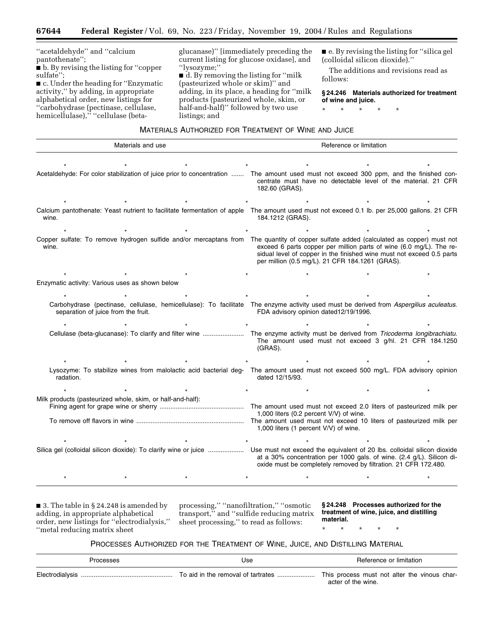''acetaldehyde'' and ''calcium pantothenate'';

■ b. By revising the listing for "copper sulfate'';

■ c. Under the heading for "Enzymatic activity,'' by adding, in appropriate alphabetical order, new listings for ''carbohydrase (pectinase, cellulase, hemicellulase),'' ''cellulase (beta-

glucanase)'' [immediately preceding the current listing for glucose oxidase], and ''lysozyme;''

■ d. By removing the listing for "milk (pasteurized whole or skim)'' and adding, in its place, a heading for ''milk products (pasteurized whole, skim, or half-and-half)'' followed by two use listings; and

■ e. By revising the listing for "silica gel (colloidal silicon dioxide).''

The additions and revisions read as follows:

**§ 24.246 Materials authorized for treatment of wine and juice.**

\* \* \* \* \*

## MATERIALS AUTHORIZED FOR TREATMENT OF WINE AND JUICE

| Materials and use                                                                                                                               | Reference or limitation                                                                                                                                                                                                   |  |  |  |
|-------------------------------------------------------------------------------------------------------------------------------------------------|---------------------------------------------------------------------------------------------------------------------------------------------------------------------------------------------------------------------------|--|--|--|
|                                                                                                                                                 | Acetaldehyde: For color stabilization of juice prior to concentration  The amount used must not exceed 300 ppm, and the finished con-<br>centrate must have no detectable level of the material. 21 CFR<br>182.60 (GRAS). |  |  |  |
| Calcium pantothenate: Yeast nutrient to facilitate fermentation of apple The amount used must not exceed 0.1 lb. per 25,000 gallons. 21 CFR     |                                                                                                                                                                                                                           |  |  |  |
| wine.<br>Copper sulfate: To remove hydrogen sulfide and/or mercaptans from The quantity of copper sulfate added (calculated as copper) must not | 184.1212 (GRAS).                                                                                                                                                                                                          |  |  |  |
| wine.                                                                                                                                           | exceed 6 parts copper per million parts of wine (6.0 mg/L). The re-<br>sidual level of copper in the finished wine must not exceed 0.5 parts<br>per million (0.5 mg/L). 21 CFR 184.1261 (GRAS).                           |  |  |  |
|                                                                                                                                                 |                                                                                                                                                                                                                           |  |  |  |
| Enzymatic activity: Various uses as shown below                                                                                                 |                                                                                                                                                                                                                           |  |  |  |
|                                                                                                                                                 |                                                                                                                                                                                                                           |  |  |  |
| separation of juice from the fruit.                                                                                                             | Carbohydrase (pectinase, cellulase, hemicellulase): To facilitate The enzyme activity used must be derived from Aspergilius aculeatus.<br>FDA advisory opinion dated12/19/1996.                                           |  |  |  |
|                                                                                                                                                 |                                                                                                                                                                                                                           |  |  |  |
|                                                                                                                                                 | Cellulase (beta-glucanase): To clarify and filter wine  The enzyme activity must be derived from Tricoderma longibrachiatu.<br>The amount used must not exceed 3 g/hl. 21 CFR 184.1250<br>(GRAS).                         |  |  |  |
|                                                                                                                                                 |                                                                                                                                                                                                                           |  |  |  |
| radation.                                                                                                                                       | Lysozyme: To stabilize wines from malolactic acid bacterial deg- The amount used must not exceed 500 mg/L. FDA advisory opinion<br>dated 12/15/93.                                                                        |  |  |  |
|                                                                                                                                                 |                                                                                                                                                                                                                           |  |  |  |
| Milk products (pasteurized whole, skim, or half-and-half):                                                                                      | The amount used must not exceed 2.0 liters of pasteurized milk per<br>1,000 liters (0.2 percent V/V) of wine.                                                                                                             |  |  |  |
|                                                                                                                                                 | The amount used must not exceed 10 liters of pasteurized milk per<br>1,000 liters (1 percent V/V) of wine.                                                                                                                |  |  |  |
|                                                                                                                                                 |                                                                                                                                                                                                                           |  |  |  |
|                                                                                                                                                 | Use must not exceed the equivalent of 20 lbs. colloidal silicon dioxide<br>at a 30% concentration per 1000 gals. of wine. (2.4 g/L). Silicon di-<br>oxide must be completely removed by filtration. 21 CFR 172.480.       |  |  |  |
|                                                                                                                                                 |                                                                                                                                                                                                                           |  |  |  |

■ 3. The table in § 24.248 is amended by adding, in appropriate alphabetical order, new listings for ''electrodialysis,'' ''metal reducing matrix sheet

processing,'' ''nanofiltration,'' ''osmotic transport,'' and ''sulfide reducing matrix sheet processing,'' to read as follows:

**§ 24.248 Processes authorized for the treatment of wine, juice, and distilling material.**

\* \* \* \* \*

## PROCESSES AUTHORIZED FOR THE TREATMENT OF WINE, JUICE, AND DISTILLING MATERIAL

| Processes | Use | Reference or limitation                                            |  |  |
|-----------|-----|--------------------------------------------------------------------|--|--|
|           |     | This process must not alter the vinous char-<br>acter of the wine. |  |  |